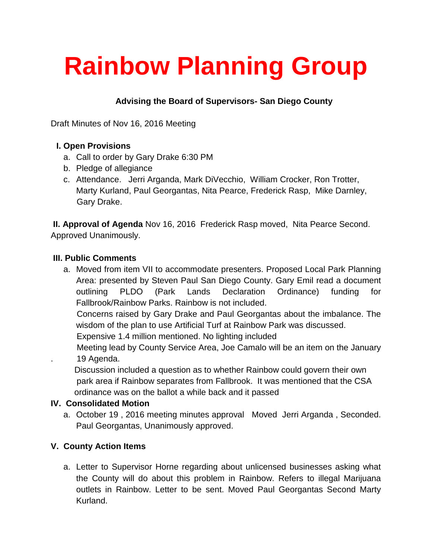# **Rainbow Planning Group**

## **Advising the Board of Supervisors- San Diego County**

Draft Minutes of Nov 16, 2016 Meeting

### **I. Open Provisions**

- a. Call to order by Gary Drake 6:30 PM
- b. Pledge of allegiance
- c. Attendance. Jerri Arganda, Mark DiVecchio, William Crocker, Ron Trotter, Marty Kurland, Paul Georgantas, Nita Pearce, Frederick Rasp, Mike Darnley, Gary Drake.

**II. Approval of Agenda** Nov 16, 2016 Frederick Rasp moved, Nita Pearce Second. Approved Unanimously.

#### **III. Public Comments**

a. Moved from item VII to accommodate presenters. Proposed Local Park Planning Area: presented by Steven Paul San Diego County. Gary Emil read a document outlining PLDO (Park Lands Declaration Ordinance) funding for Fallbrook/Rainbow Parks. Rainbow is not included.

 Concerns raised by Gary Drake and Paul Georgantas about the imbalance. The wisdom of the plan to use Artificial Turf at Rainbow Park was discussed.

Expensive 1.4 million mentioned. No lighting included

 Meeting lead by County Service Area, Joe Camalo will be an item on the January . 19 Agenda.

 Discussion included a question as to whether Rainbow could govern their own park area if Rainbow separates from Fallbrook. It was mentioned that the CSA ordinance was on the ballot a while back and it passed

### **IV. Consolidated Motion**

a. October 19 , 2016 meeting minutes approval Moved Jerri Arganda , Seconded. Paul Georgantas, Unanimously approved.

## **V. County Action Items**

a. Letter to Supervisor Horne regarding about unlicensed businesses asking what the County will do about this problem in Rainbow. Refers to illegal Marijuana outlets in Rainbow. Letter to be sent. Moved Paul Georgantas Second Marty Kurland.